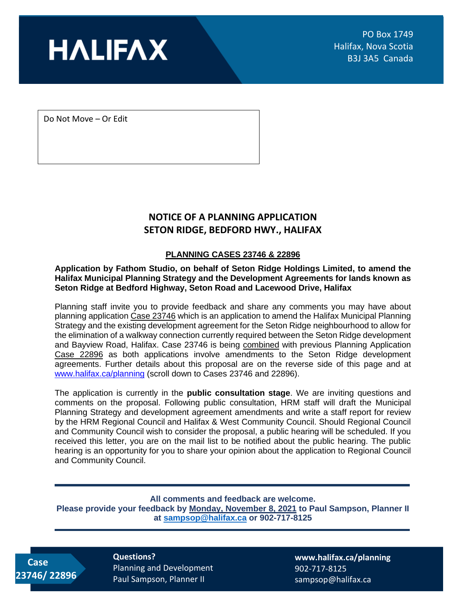

Do Not Move – Or Edit

## **NOTICE OF A PLANNING APPLICATION SETON RIDGE, BEDFORD HWY., HALIFAX**

### **PLANNING CASES 23746 & 22896**

**Application by Fathom Studio, on behalf of Seton Ridge Holdings Limited, to amend the Halifax Municipal Planning Strategy and the Development Agreements for lands known as Seton Ridge at Bedford Highway, Seton Road and Lacewood Drive, Halifax**

Planning staff invite you to provide feedback and share any comments you may have about planning application Case 23746 which is an application to amend the Halifax Municipal Planning Strategy and the existing development agreement for the Seton Ridge neighbourhood to allow for the elimination of a walkway connection currently required between the Seton Ridge development and Bayview Road, Halifax. Case 23746 is being combined with previous Planning Application Case 22896 as both applications involve amendments to the Seton Ridge development agreements. Further details about this proposal are on the reverse side of this page and at [www.halifax.ca/planning](http://www.halifax.ca/planning) (scroll down to Cases 23746 and 22896).

The application is currently in the **public consultation stage**. We are inviting questions and comments on the proposal. Following public consultation, HRM staff will draft the Municipal Planning Strategy and development agreement amendments and write a staff report for review by the HRM Regional Council and Halifax & West Community Council. Should Regional Council and Community Council wish to consider the proposal, a public hearing will be scheduled. If you received this letter, you are on the mail list to be notified about the public hearing. The public hearing is an opportunity for you to share your opinion about the application to Regional Council and Community Council.

#### **All comments and feedback are welcome.**

**Please provide your feedback by Monday, November 8, 2021 to Paul Sampson, Planner II at [sampsop@halifax.ca](mailto:sampsop@halifax.ca) or 902-717-8125**

 **Case 23746/ 22896** **Questions?**  Planning and Development Paul Sampson, Planner II

**[www.halifax.ca/planning](http://www.halifax.ca/planning)** 902-717-8125 sampsop@halifax.ca